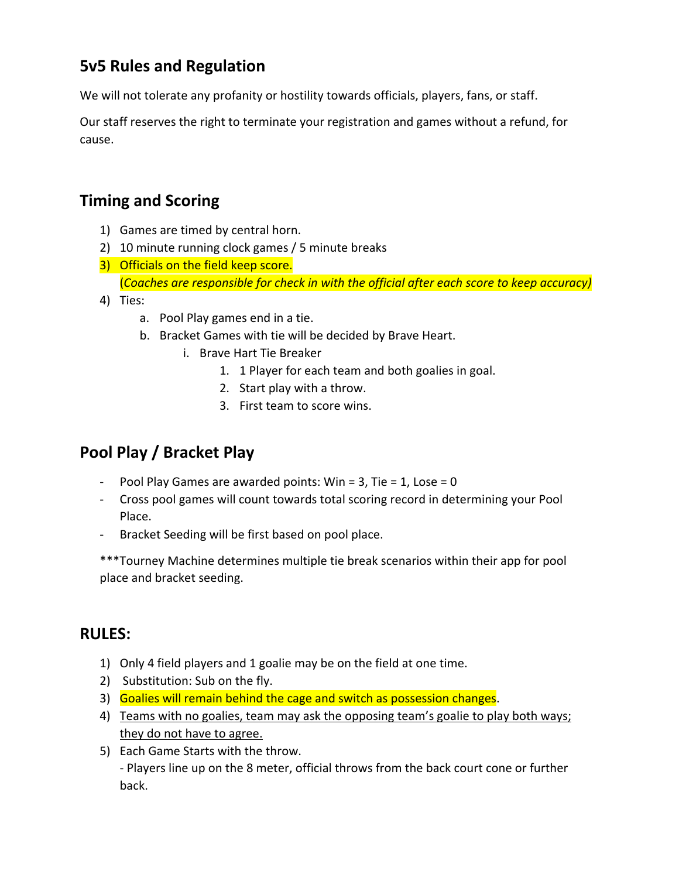# **5v5 Rules and Regulation**

We will not tolerate any profanity or hostility towards officials, players, fans, or staff.

Our staff reserves the right to terminate your registration and games without a refund, for cause.

# **Timing and Scoring**

- 1) Games are timed by central horn.
- 2) 10 minute running clock games / 5 minute breaks
- 3) Officials on the field keep score. (*Coaches are responsible for check in with the official after each score to keep accuracy)*
- 4) Ties:
	- a. Pool Play games end in a tie.
	- b. Bracket Games with tie will be decided by Brave Heart.
		- i. Brave Hart Tie Breaker
			- 1. 1 Player for each team and both goalies in goal.
			- 2. Start play with a throw.
			- 3. First team to score wins.

# **Pool Play / Bracket Play**

- Pool Play Games are awarded points: Win =  $3$ , Tie =  $1$ , Lose =  $0$
- Cross pool games will count towards total scoring record in determining your Pool Place.
- Bracket Seeding will be first based on pool place.

\*\*\*Tourney Machine determines multiple tie break scenarios within their app for pool place and bracket seeding.

## **RULES:**

- 1) Only 4 field players and 1 goalie may be on the field at one time.
- 2) Substitution: Sub on the fly.
- 3) Goalies will remain behind the cage and switch as possession changes.
- 4) Teams with no goalies, team may ask the opposing team's goalie to play both ways; they do not have to agree.
- 5) Each Game Starts with the throw. - Players line up on the 8 meter, official throws from the back court cone or further back.